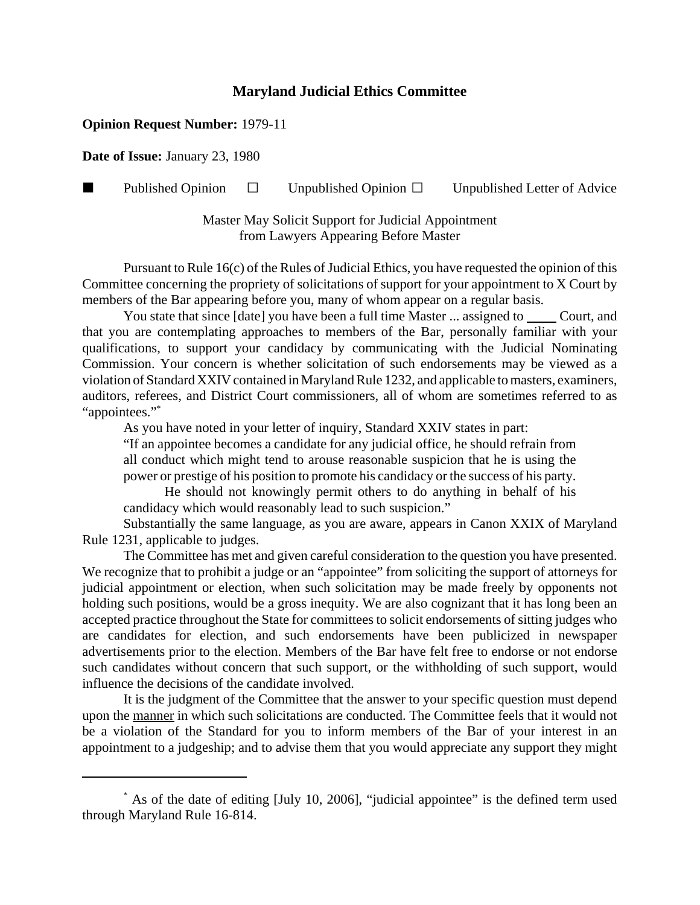## **Maryland Judicial Ethics Committee**

## **Opinion Request Number:** 1979-11

**Date of Issue:** January 23, 1980

Published Opinion  $\Box$  Unpublished Opinion  $\Box$  Unpublished Letter of Advice

Master May Solicit Support for Judicial Appointment from Lawyers Appearing Before Master

Pursuant to Rule 16(c) of the Rules of Judicial Ethics, you have requested the opinion of this Committee concerning the propriety of solicitations of support for your appointment to X Court by members of the Bar appearing before you, many of whom appear on a regular basis.

You state that since [date] you have been a full time Master ... assigned to Court, and that you are contemplating approaches to members of the Bar, personally familiar with your qualifications, to support your candidacy by communicating with the Judicial Nominating Commission. Your concern is whether solicitation of such endorsements may be viewed as a violation of Standard XXIV contained in Maryland Rule 1232, and applicable to masters, examiners, auditors, referees, and District Court commissioners, all of whom are sometimes referred to as "appointees."\*

As you have noted in your letter of inquiry, Standard XXIV states in part:

"If an appointee becomes a candidate for any judicial office, he should refrain from all conduct which might tend to arouse reasonable suspicion that he is using the power or prestige of his position to promote his candidacy or the success of his party.

He should not knowingly permit others to do anything in behalf of his candidacy which would reasonably lead to such suspicion."

Substantially the same language, as you are aware, appears in Canon XXIX of Maryland Rule 1231, applicable to judges.

The Committee has met and given careful consideration to the question you have presented. We recognize that to prohibit a judge or an "appointee" from soliciting the support of attorneys for judicial appointment or election, when such solicitation may be made freely by opponents not holding such positions, would be a gross inequity. We are also cognizant that it has long been an accepted practice throughout the State for committees to solicit endorsements of sitting judges who are candidates for election, and such endorsements have been publicized in newspaper advertisements prior to the election. Members of the Bar have felt free to endorse or not endorse such candidates without concern that such support, or the withholding of such support, would influence the decisions of the candidate involved.

It is the judgment of the Committee that the answer to your specific question must depend upon the manner in which such solicitations are conducted. The Committee feels that it would not be a violation of the Standard for you to inform members of the Bar of your interest in an appointment to a judgeship; and to advise them that you would appreciate any support they might

<sup>\*</sup> As of the date of editing [July 10, 2006], "judicial appointee" is the defined term used through Maryland Rule 16-814.